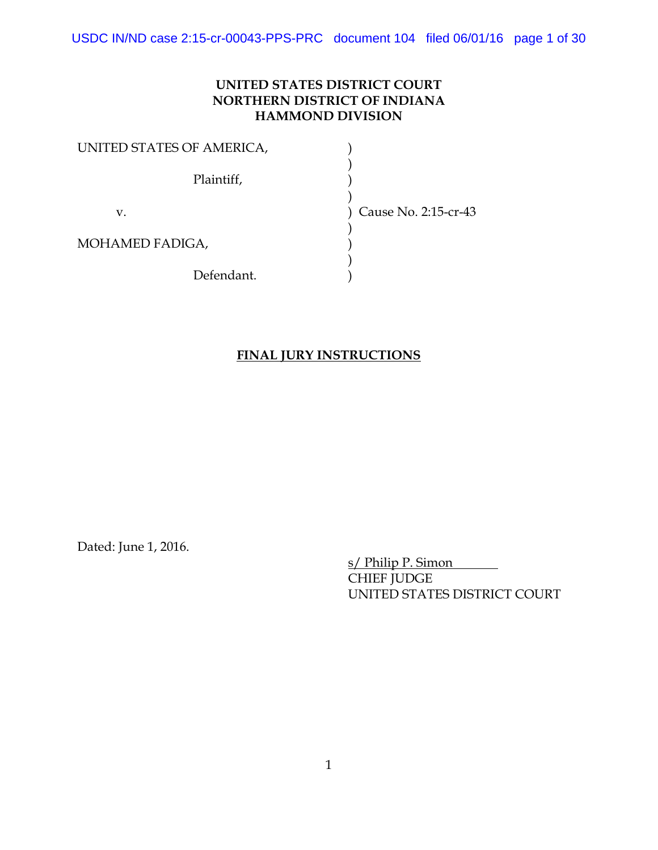USDC IN/ND case 2:15-cr-00043-PPS-PRC document 104 filed 06/01/16 page 1 of 30

## **UNITED STATES DISTRICT COURT NORTHERN DISTRICT OF INDIANA HAMMOND DIVISION**

| UNITED STATES OF AMERICA, |                      |
|---------------------------|----------------------|
| Plaintiff,                |                      |
| v.                        | Cause No. 2:15-cr-43 |
| MOHAMED FADIGA,           |                      |
| Defendant.                |                      |

#### **FINAL JURY INSTRUCTIONS**

Dated: June 1, 2016.

s/ Philip P. Simon CHIEF JUDGE UNITED STATES DISTRICT COURT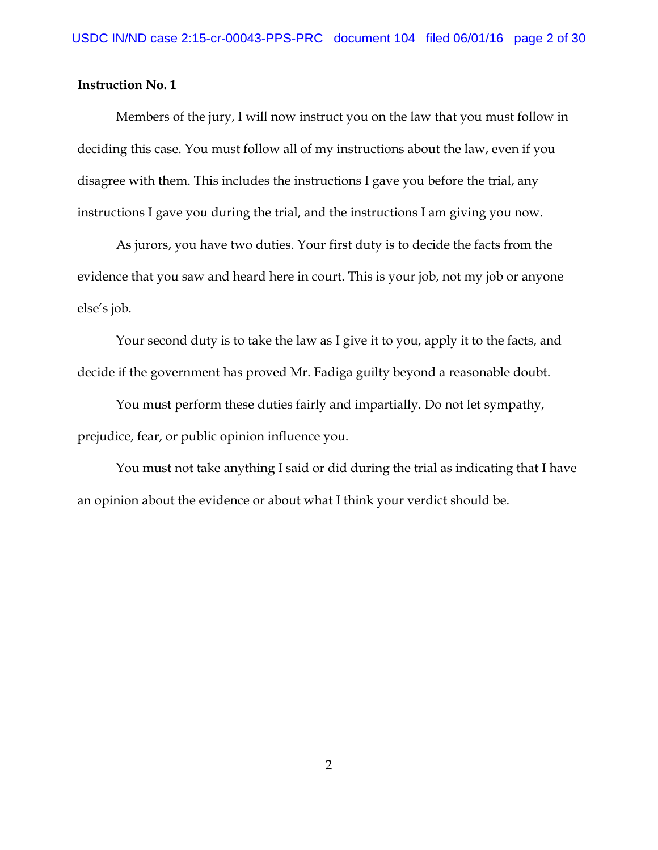Members of the jury, I will now instruct you on the law that you must follow in deciding this case. You must follow all of my instructions about the law, even if you disagree with them. This includes the instructions I gave you before the trial, any instructions I gave you during the trial, and the instructions I am giving you now.

As jurors, you have two duties. Your first duty is to decide the facts from the evidence that you saw and heard here in court. This is your job, not my job or anyone else's job.

Your second duty is to take the law as I give it to you, apply it to the facts, and decide if the government has proved Mr. Fadiga guilty beyond a reasonable doubt.

You must perform these duties fairly and impartially. Do not let sympathy, prejudice, fear, or public opinion influence you.

You must not take anything I said or did during the trial as indicating that I have an opinion about the evidence or about what I think your verdict should be.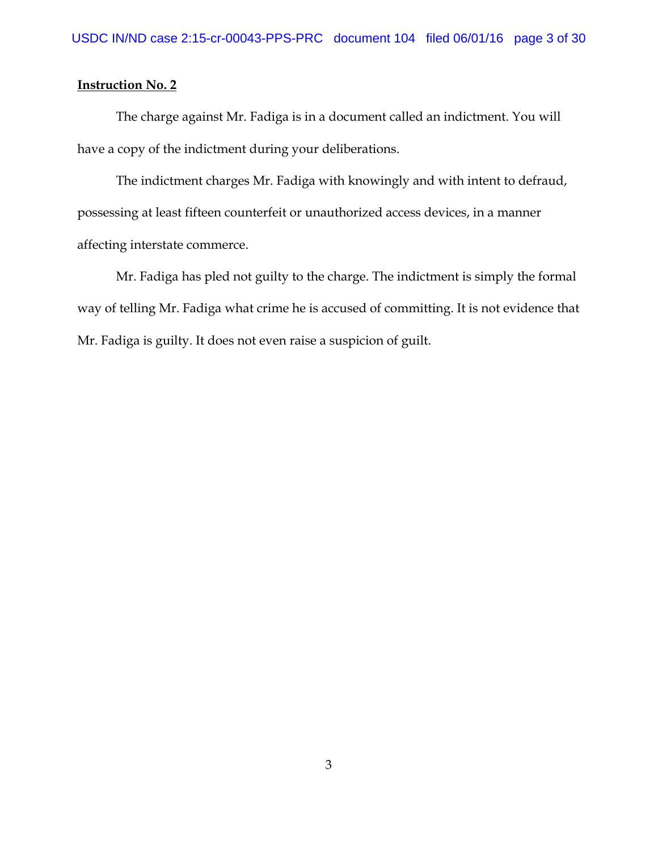The charge against Mr. Fadiga is in a document called an indictment. You will have a copy of the indictment during your deliberations.

The indictment charges Mr. Fadiga with knowingly and with intent to defraud, possessing at least fifteen counterfeit or unauthorized access devices, in a manner affecting interstate commerce.

Mr. Fadiga has pled not guilty to the charge. The indictment is simply the formal way of telling Mr. Fadiga what crime he is accused of committing. It is not evidence that Mr. Fadiga is guilty. It does not even raise a suspicion of guilt.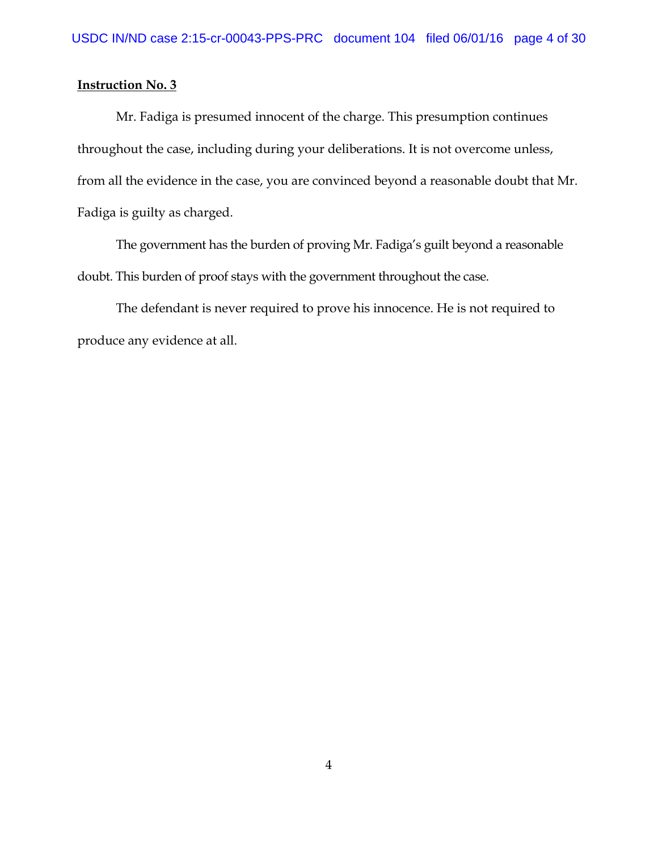Mr. Fadiga is presumed innocent of the charge. This presumption continues throughout the case, including during your deliberations. It is not overcome unless, from all the evidence in the case, you are convinced beyond a reasonable doubt that Mr. Fadiga is guilty as charged.

The government has the burden of proving Mr. Fadiga's guilt beyond a reasonable doubt. This burden of proof stays with the government throughout the case.

The defendant is never required to prove his innocence. He is not required to produce any evidence at all.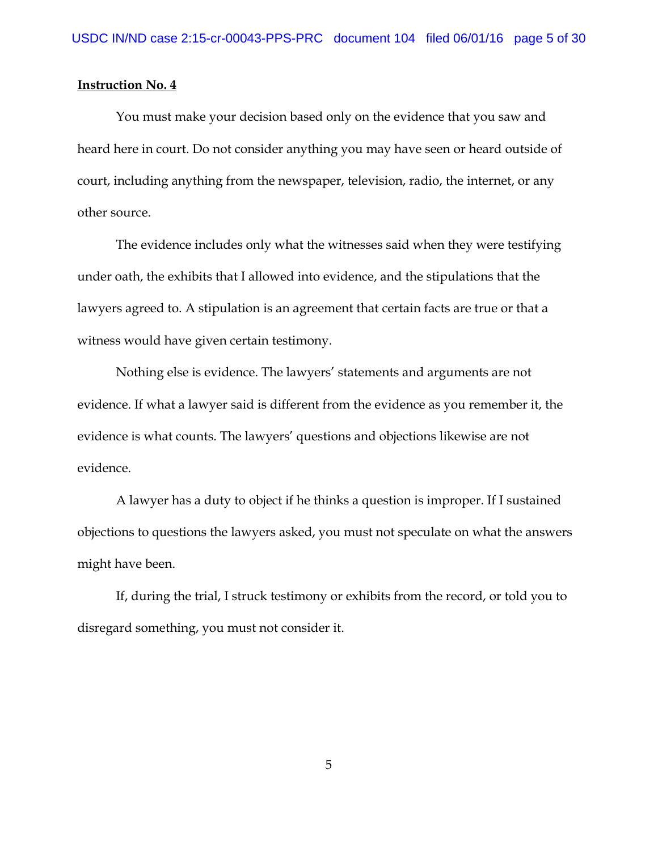You must make your decision based only on the evidence that you saw and heard here in court. Do not consider anything you may have seen or heard outside of court, including anything from the newspaper, television, radio, the internet, or any other source.

The evidence includes only what the witnesses said when they were testifying under oath, the exhibits that I allowed into evidence, and the stipulations that the lawyers agreed to. A stipulation is an agreement that certain facts are true or that a witness would have given certain testimony.

Nothing else is evidence. The lawyers' statements and arguments are not evidence. If what a lawyer said is different from the evidence as you remember it, the evidence is what counts. The lawyers' questions and objections likewise are not evidence.

A lawyer has a duty to object if he thinks a question is improper. If I sustained objections to questions the lawyers asked, you must not speculate on what the answers might have been.

If, during the trial, I struck testimony or exhibits from the record, or told you to disregard something, you must not consider it.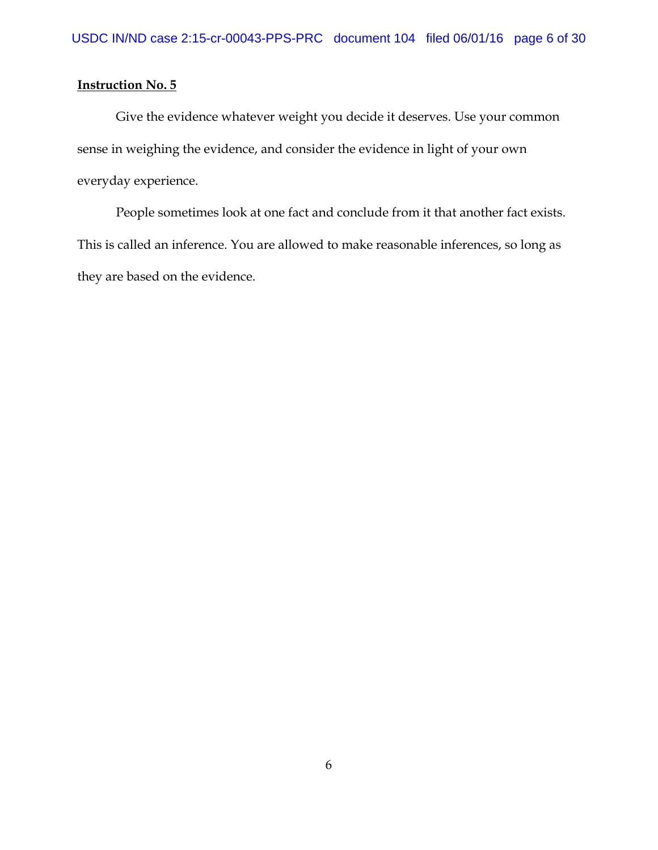Give the evidence whatever weight you decide it deserves. Use your common sense in weighing the evidence, and consider the evidence in light of your own everyday experience.

People sometimes look at one fact and conclude from it that another fact exists. This is called an inference. You are allowed to make reasonable inferences, so long as they are based on the evidence.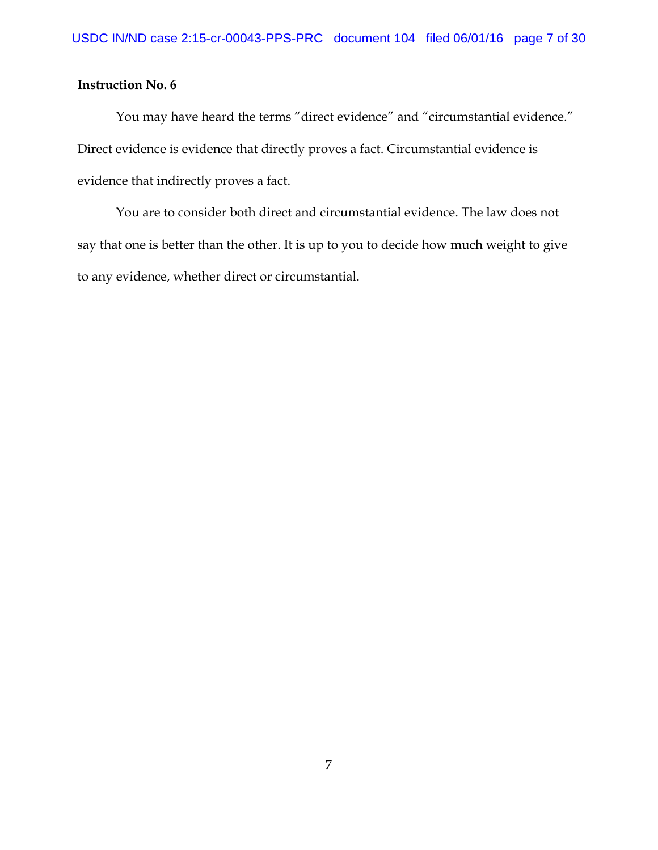You may have heard the terms "direct evidence" and "circumstantial evidence." Direct evidence is evidence that directly proves a fact. Circumstantial evidence is evidence that indirectly proves a fact.

You are to consider both direct and circumstantial evidence. The law does not say that one is better than the other. It is up to you to decide how much weight to give to any evidence, whether direct or circumstantial.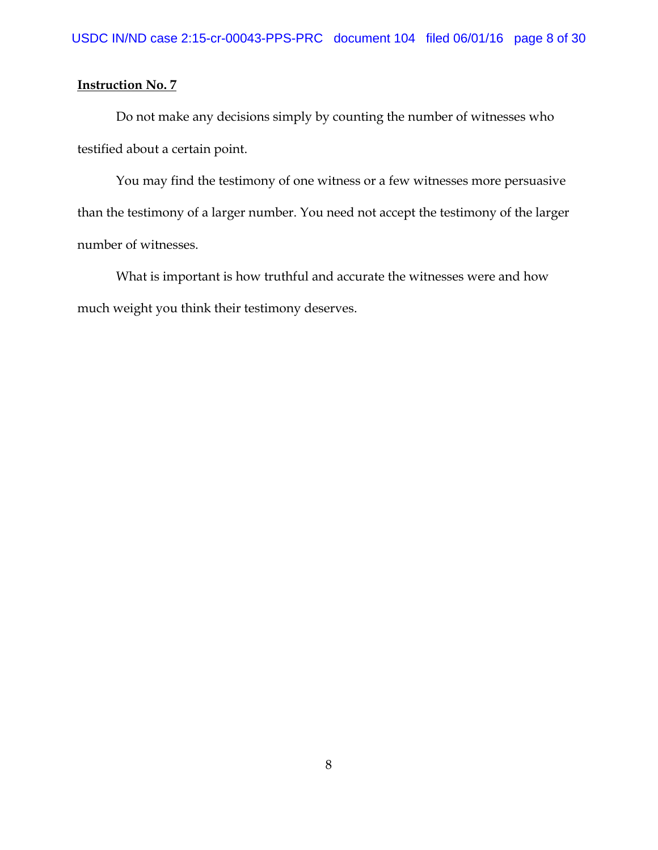Do not make any decisions simply by counting the number of witnesses who testified about a certain point.

You may find the testimony of one witness or a few witnesses more persuasive than the testimony of a larger number. You need not accept the testimony of the larger number of witnesses.

What is important is how truthful and accurate the witnesses were and how much weight you think their testimony deserves.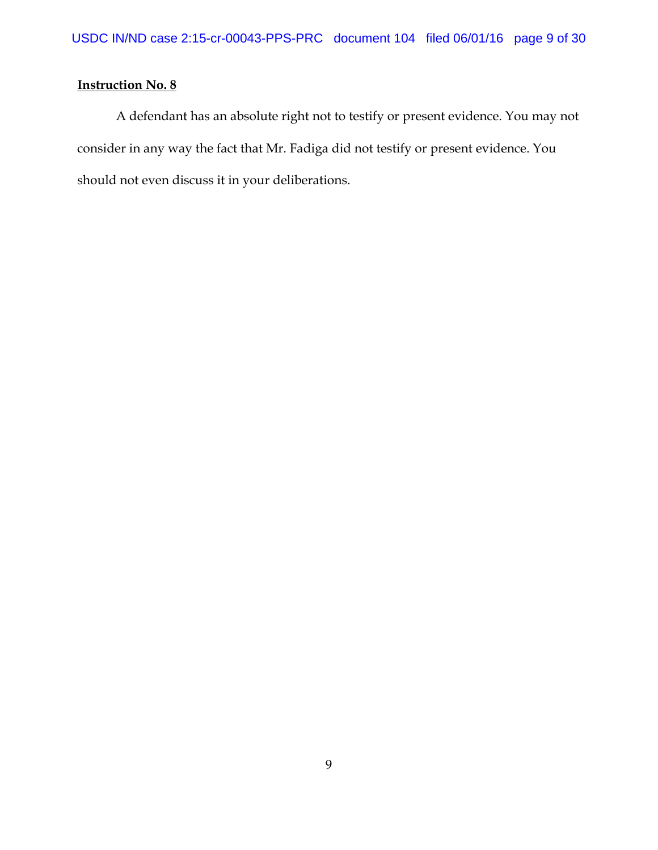A defendant has an absolute right not to testify or present evidence. You may not consider in any way the fact that Mr. Fadiga did not testify or present evidence. You should not even discuss it in your deliberations.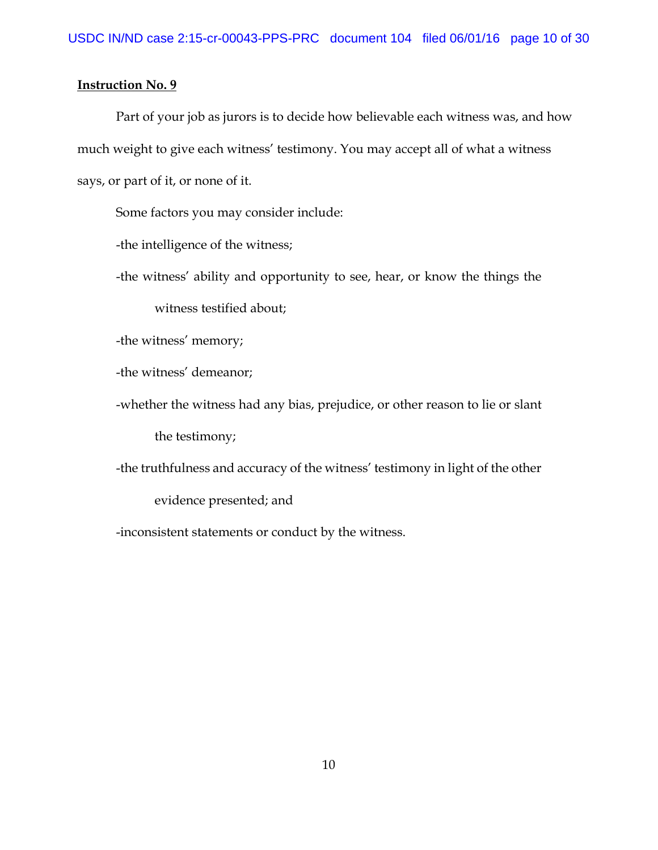Part of your job as jurors is to decide how believable each witness was, and how much weight to give each witness' testimony. You may accept all of what a witness says, or part of it, or none of it.

Some factors you may consider include:

-the intelligence of the witness;

-the witness' ability and opportunity to see, hear, or know the things the

witness testified about;

-the witness' memory;

-the witness' demeanor;

-whether the witness had any bias, prejudice, or other reason to lie or slant the testimony;

-the truthfulness and accuracy of the witness' testimony in light of the other

evidence presented; and

-inconsistent statements or conduct by the witness.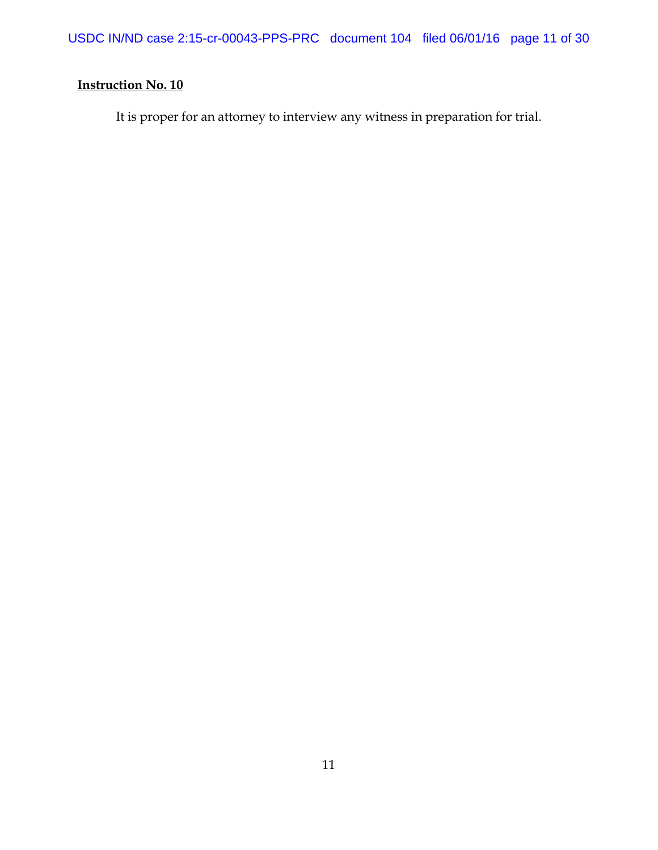USDC IN/ND case 2:15-cr-00043-PPS-PRC document 104 filed 06/01/16 page 11 of 30

# **Instruction No. 10**

It is proper for an attorney to interview any witness in preparation for trial.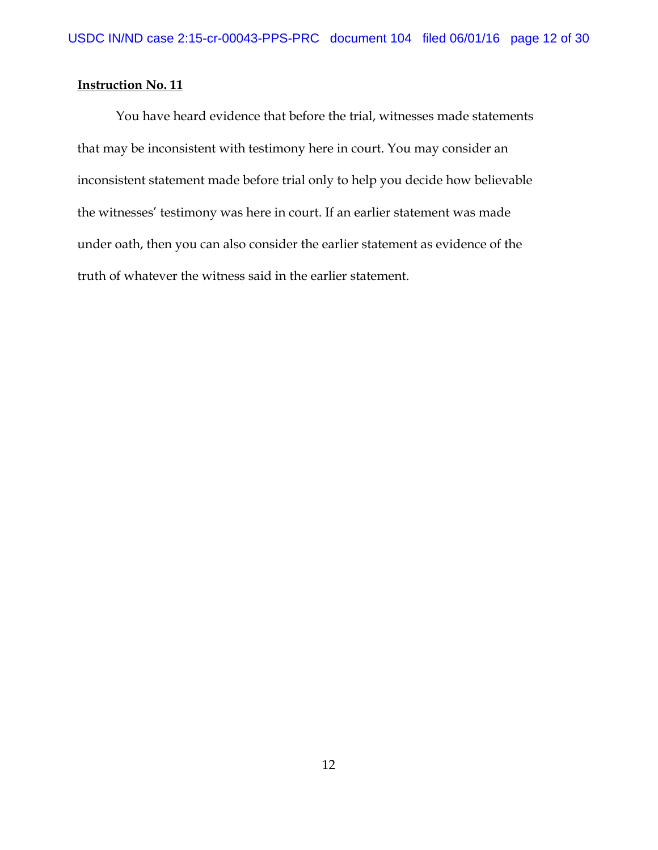You have heard evidence that before the trial, witnesses made statements that may be inconsistent with testimony here in court. You may consider an inconsistent statement made before trial only to help you decide how believable the witnesses' testimony was here in court. If an earlier statement was made under oath, then you can also consider the earlier statement as evidence of the truth of whatever the witness said in the earlier statement.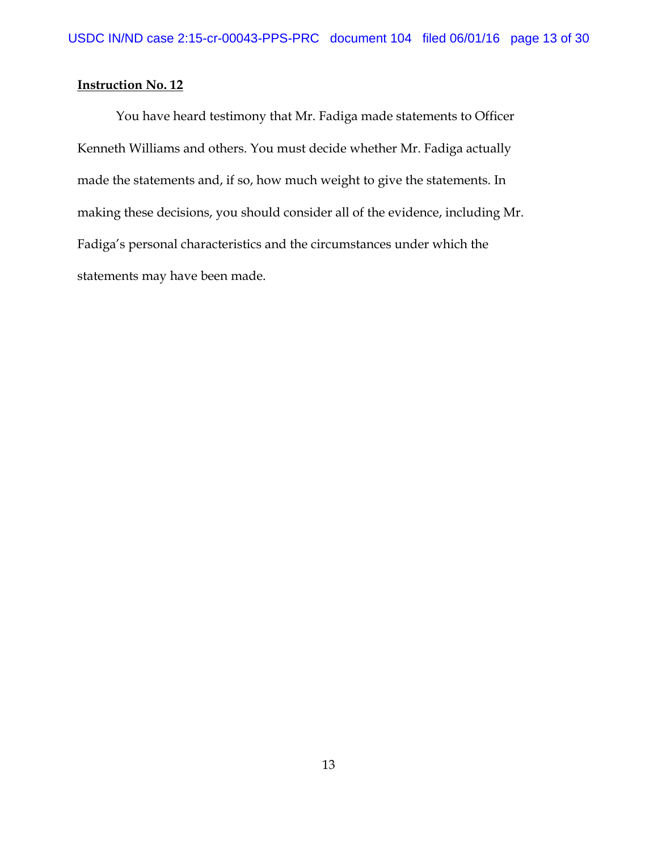You have heard testimony that Mr. Fadiga made statements to Officer Kenneth Williams and others. You must decide whether Mr. Fadiga actually made the statements and, if so, how much weight to give the statements. In making these decisions, you should consider all of the evidence, including Mr. Fadiga's personal characteristics and the circumstances under which the statements may have been made.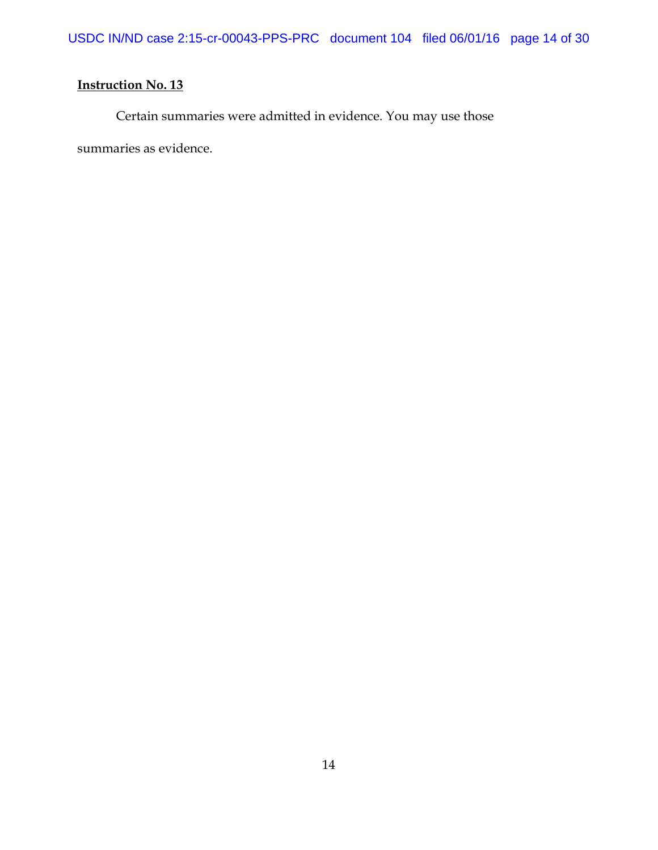Certain summaries were admitted in evidence. You may use those

summaries as evidence.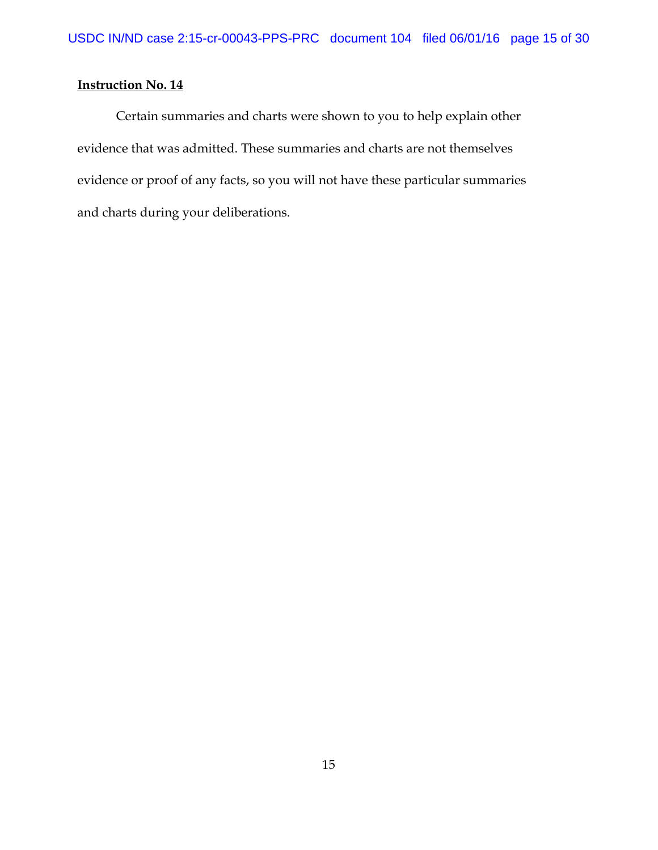Certain summaries and charts were shown to you to help explain other evidence that was admitted. These summaries and charts are not themselves evidence or proof of any facts, so you will not have these particular summaries and charts during your deliberations.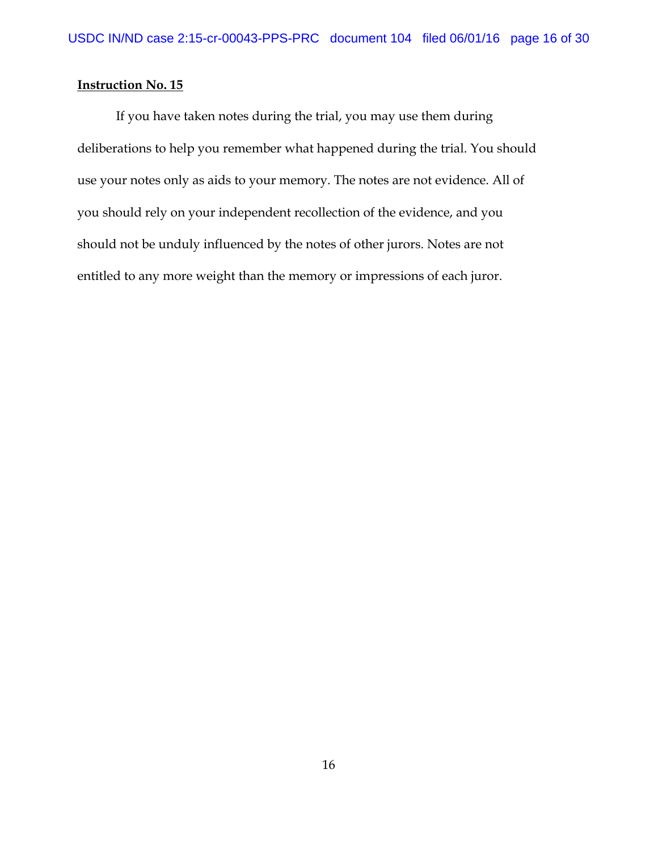If you have taken notes during the trial, you may use them during deliberations to help you remember what happened during the trial. You should use your notes only as aids to your memory. The notes are not evidence. All of you should rely on your independent recollection of the evidence, and you should not be unduly influenced by the notes of other jurors. Notes are not entitled to any more weight than the memory or impressions of each juror.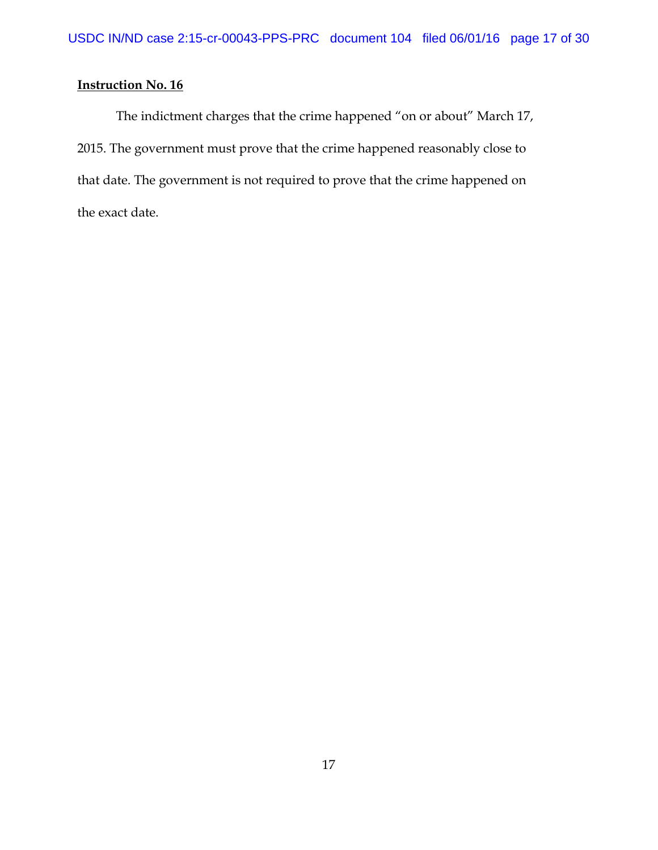The indictment charges that the crime happened "on or about" March 17, 2015. The government must prove that the crime happened reasonably close to that date. The government is not required to prove that the crime happened on the exact date.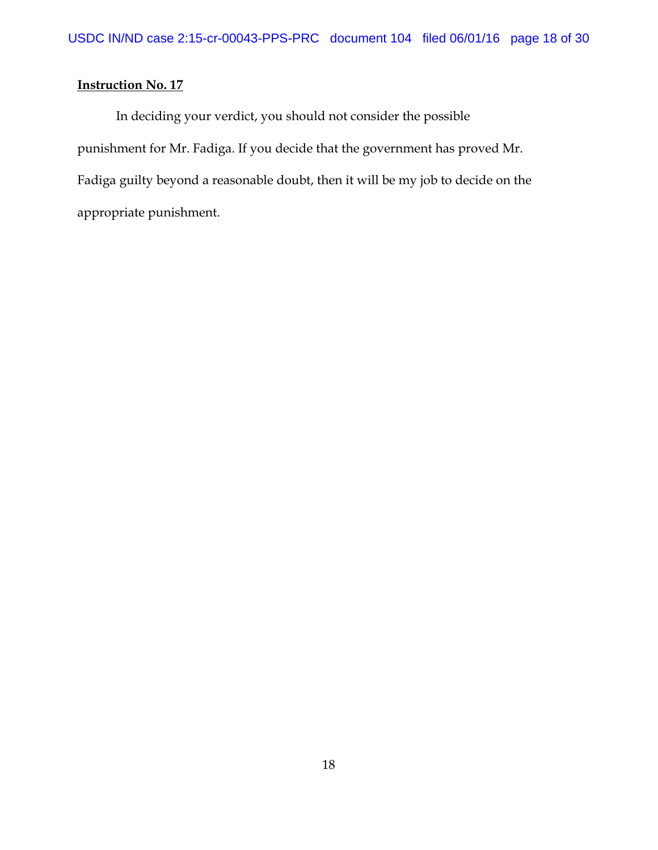In deciding your verdict, you should not consider the possible punishment for Mr. Fadiga. If you decide that the government has proved Mr. Fadiga guilty beyond a reasonable doubt, then it will be my job to decide on the appropriate punishment.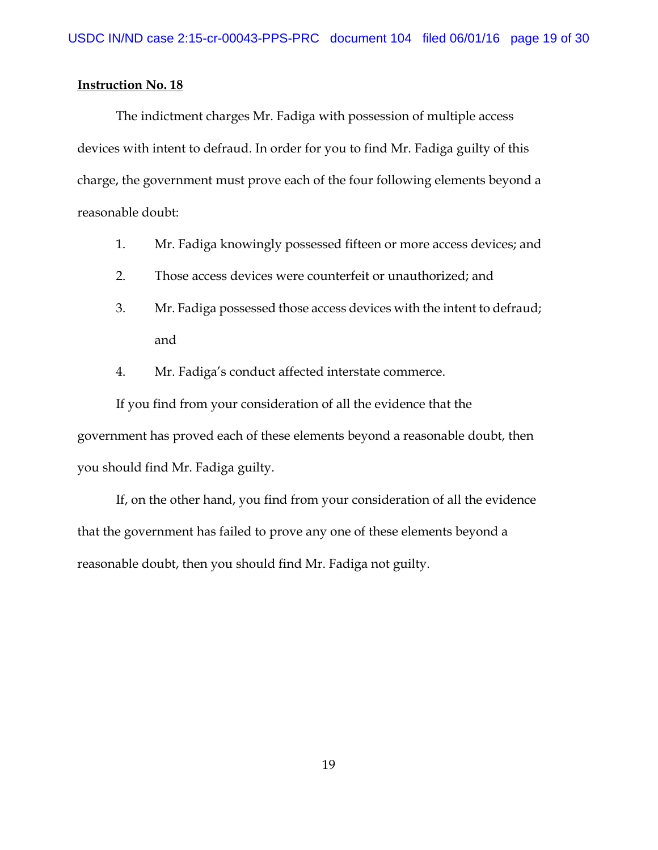The indictment charges Mr. Fadiga with possession of multiple access devices with intent to defraud. In order for you to find Mr. Fadiga guilty of this charge, the government must prove each of the four following elements beyond a reasonable doubt:

- 1. Mr. Fadiga knowingly possessed fifteen or more access devices; and
- 2. Those access devices were counterfeit or unauthorized; and
- 3. Mr. Fadiga possessed those access devices with the intent to defraud; and
- 4. Mr. Fadiga's conduct affected interstate commerce.

If you find from your consideration of all the evidence that the government has proved each of these elements beyond a reasonable doubt, then you should find Mr. Fadiga guilty.

If, on the other hand, you find from your consideration of all the evidence that the government has failed to prove any one of these elements beyond a reasonable doubt, then you should find Mr. Fadiga not guilty.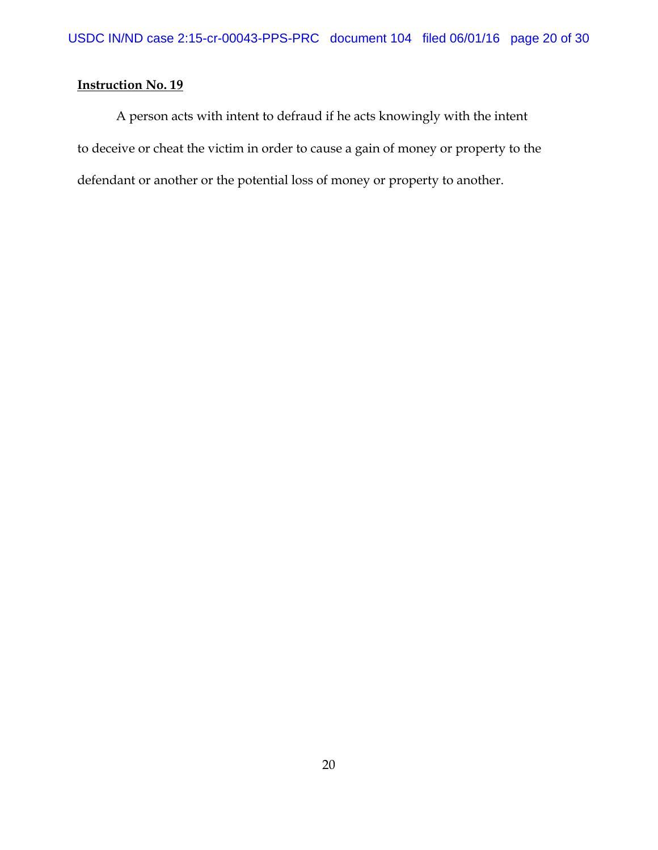A person acts with intent to defraud if he acts knowingly with the intent to deceive or cheat the victim in order to cause a gain of money or property to the defendant or another or the potential loss of money or property to another.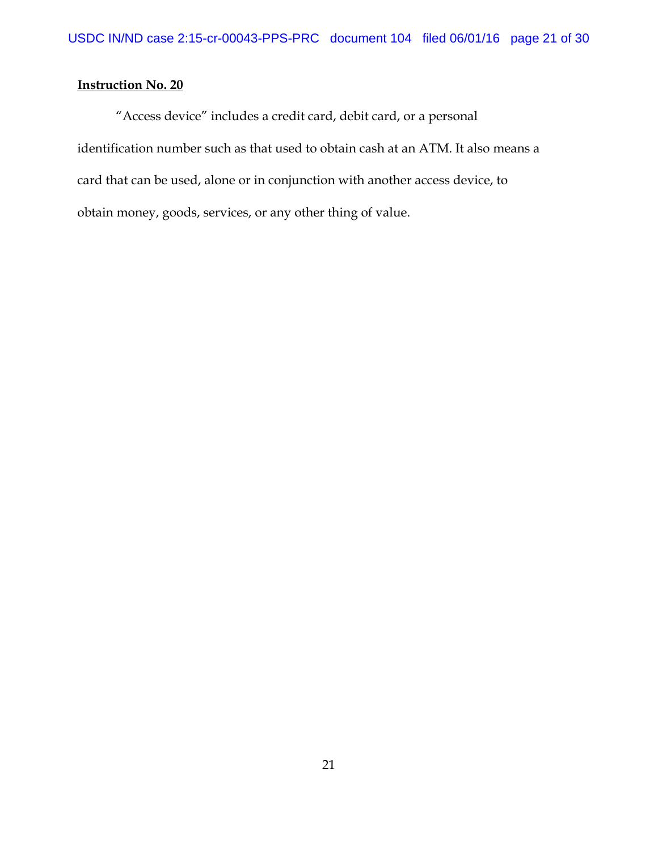"Access device" includes a credit card, debit card, or a personal identification number such as that used to obtain cash at an ATM. It also means a card that can be used, alone or in conjunction with another access device, to obtain money, goods, services, or any other thing of value.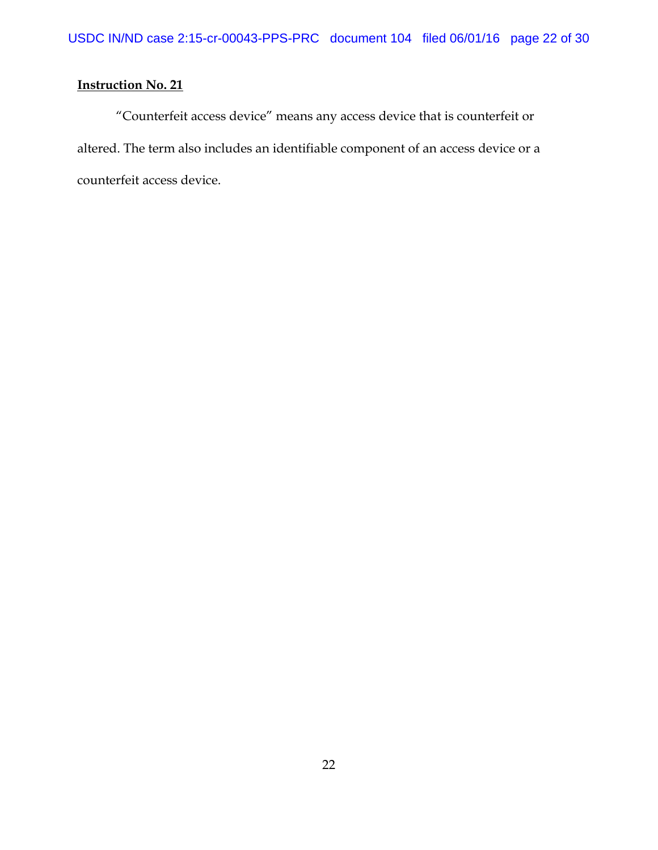"Counterfeit access device" means any access device that is counterfeit or altered. The term also includes an identifiable component of an access device or a counterfeit access device.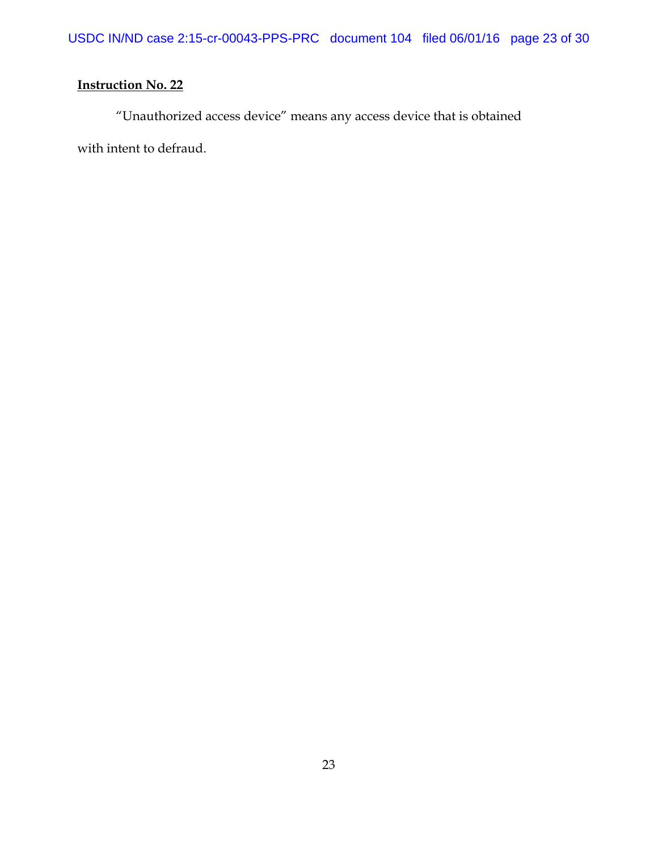"Unauthorized access device" means any access device that is obtained with intent to defraud.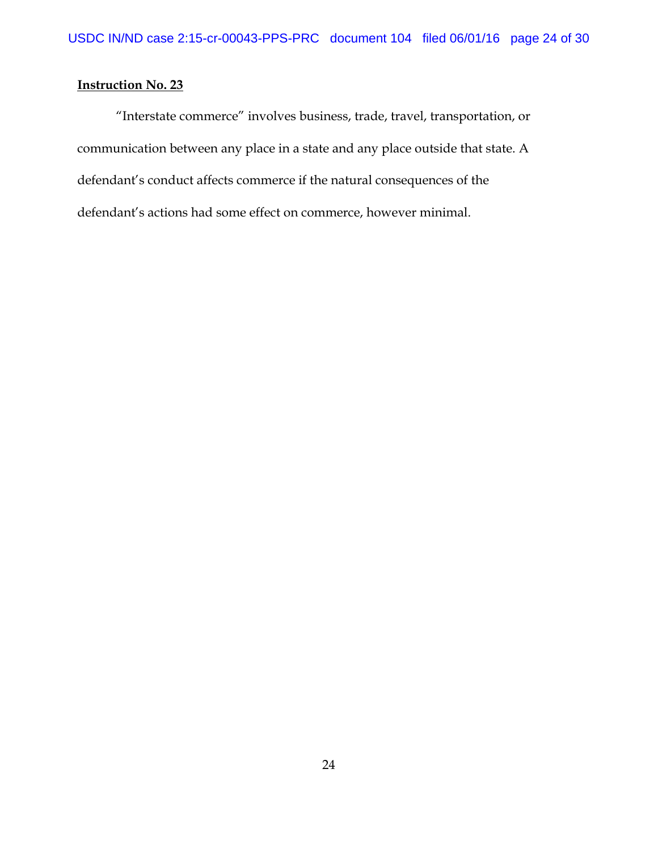"Interstate commerce" involves business, trade, travel, transportation, or communication between any place in a state and any place outside that state. A defendant's conduct affects commerce if the natural consequences of the defendant's actions had some effect on commerce, however minimal.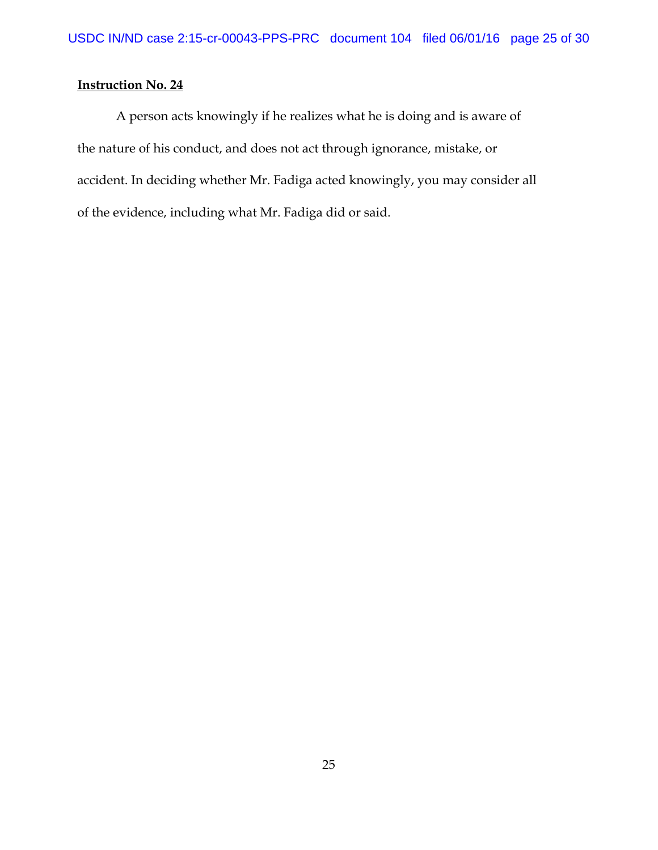A person acts knowingly if he realizes what he is doing and is aware of the nature of his conduct, and does not act through ignorance, mistake, or accident. In deciding whether Mr. Fadiga acted knowingly, you may consider all of the evidence, including what Mr. Fadiga did or said.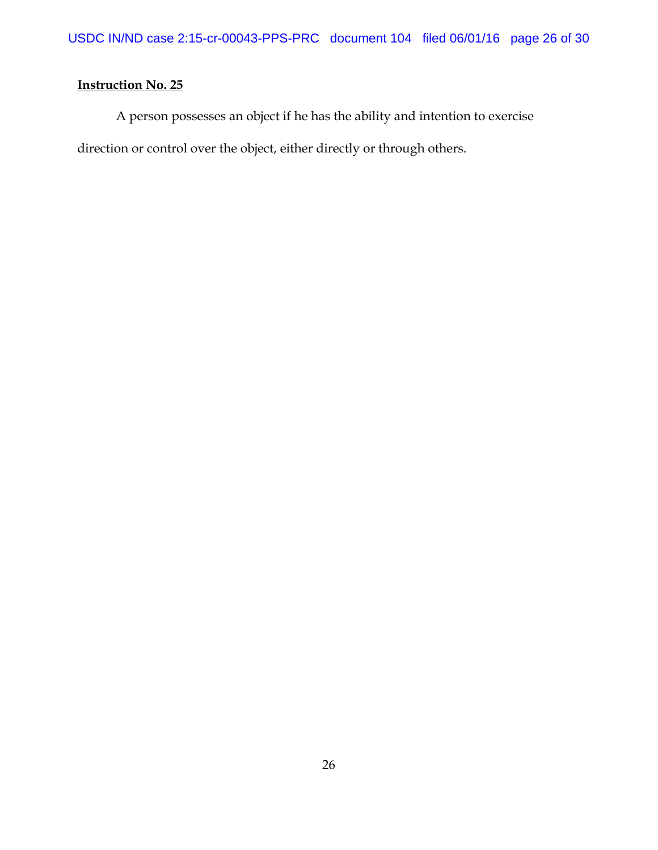A person possesses an object if he has the ability and intention to exercise direction or control over the object, either directly or through others.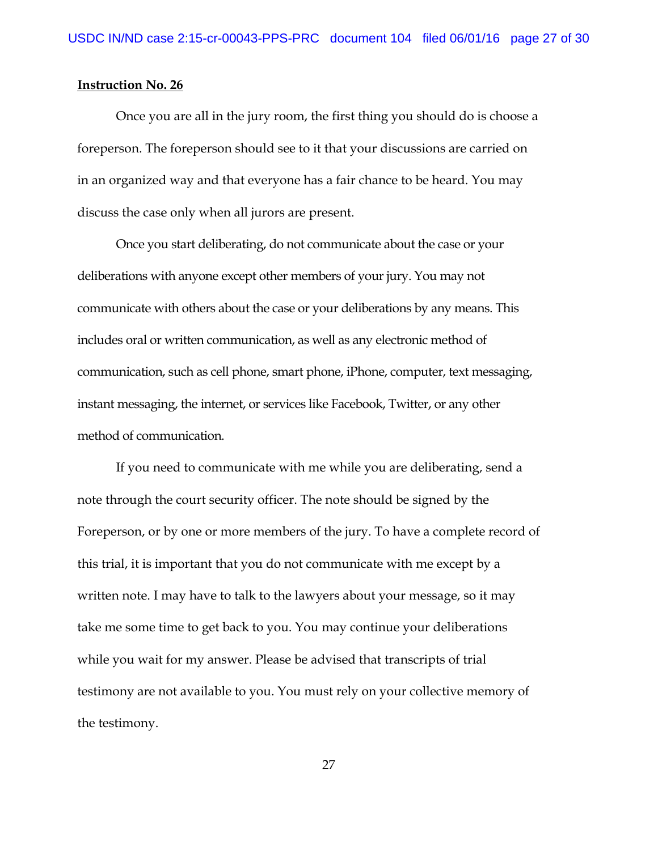Once you are all in the jury room, the first thing you should do is choose a foreperson. The foreperson should see to it that your discussions are carried on in an organized way and that everyone has a fair chance to be heard. You may discuss the case only when all jurors are present.

Once you start deliberating, do not communicate about the case or your deliberations with anyone except other members of your jury. You may not communicate with others about the case or your deliberations by any means. This includes oral or written communication, as well as any electronic method of communication, such as cell phone, smart phone, iPhone, computer, text messaging, instant messaging, the internet, or services like Facebook, Twitter, or any other method of communication.

If you need to communicate with me while you are deliberating, send a note through the court security officer. The note should be signed by the Foreperson, or by one or more members of the jury. To have a complete record of this trial, it is important that you do not communicate with me except by a written note. I may have to talk to the lawyers about your message, so it may take me some time to get back to you. You may continue your deliberations while you wait for my answer. Please be advised that transcripts of trial testimony are not available to you. You must rely on your collective memory of the testimony.

27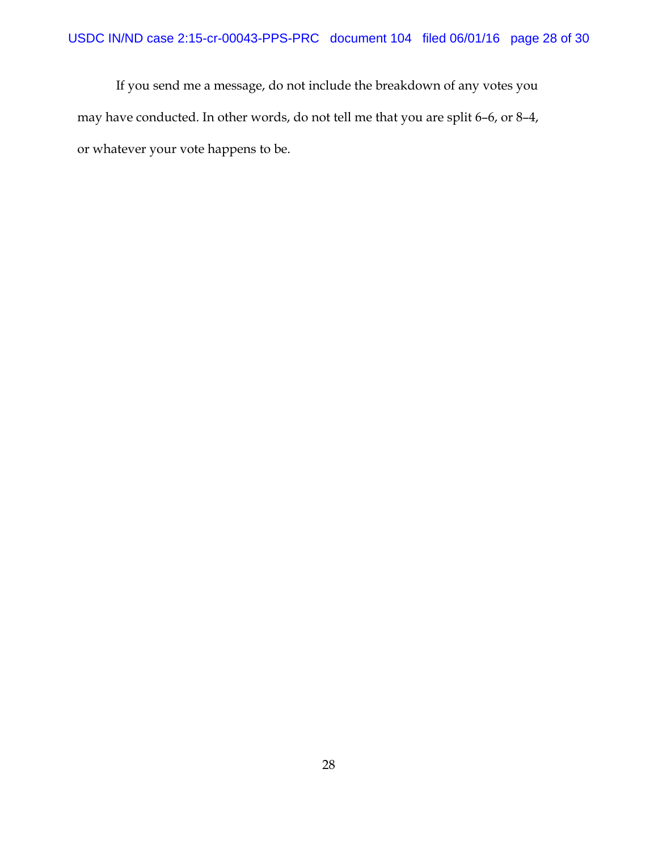If you send me a message, do not include the breakdown of any votes you may have conducted. In other words, do not tell me that you are split 6–6, or 8–4, or whatever your vote happens to be.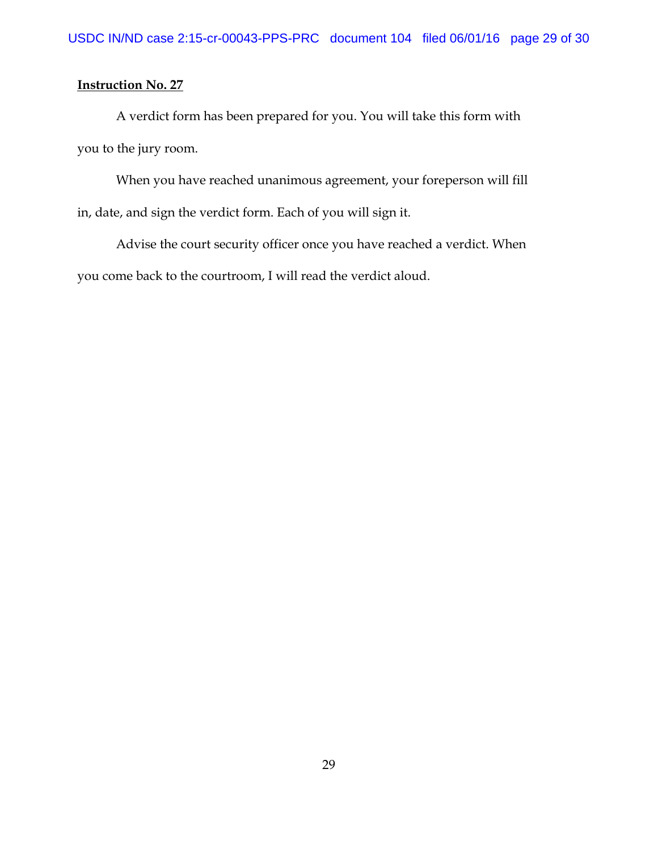A verdict form has been prepared for you. You will take this form with you to the jury room.

When you have reached unanimous agreement, your foreperson will fill in, date, and sign the verdict form. Each of you will sign it.

Advise the court security officer once you have reached a verdict. When you come back to the courtroom, I will read the verdict aloud.